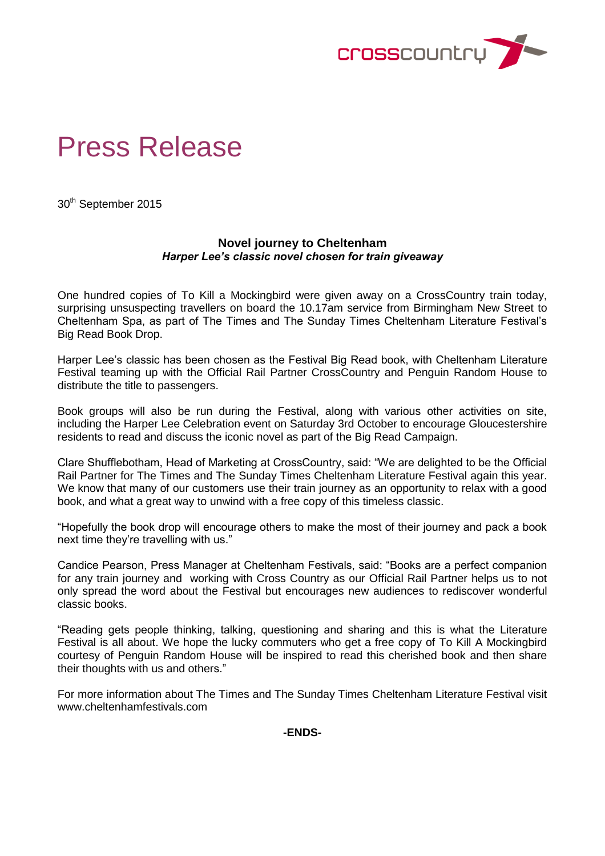

# Press Release

30th September 2015

# **Novel journey to Cheltenham** *Harper Lee's classic novel chosen for train giveaway*

One hundred copies of To Kill a Mockingbird were given away on a CrossCountry train today, surprising unsuspecting travellers on board the 10.17am service from Birmingham New Street to Cheltenham Spa, as part of The Times and The Sunday Times Cheltenham Literature Festival's Big Read Book Drop.

Harper Lee's classic has been chosen as the Festival Big Read book, with Cheltenham Literature Festival teaming up with the Official Rail Partner CrossCountry and Penguin Random House to distribute the title to passengers.

Book groups will also be run during the Festival, along with various other activities on site, including the Harper Lee Celebration event on Saturday 3rd October to encourage Gloucestershire residents to read and discuss the iconic novel as part of the Big Read Campaign.

Clare Shufflebotham, Head of Marketing at CrossCountry, said: "We are delighted to be the Official Rail Partner for The Times and The Sunday Times Cheltenham Literature Festival again this year. We know that many of our customers use their train journey as an opportunity to relax with a good book, and what a great way to unwind with a free copy of this timeless classic.

"Hopefully the book drop will encourage others to make the most of their journey and pack a book next time they're travelling with us."

Candice Pearson, Press Manager at Cheltenham Festivals, said: "Books are a perfect companion for any train journey and working with Cross Country as our Official Rail Partner helps us to not only spread the word about the Festival but encourages new audiences to rediscover wonderful classic books.

"Reading gets people thinking, talking, questioning and sharing and this is what the Literature Festival is all about. We hope the lucky commuters who get a free copy of To Kill A Mockingbird courtesy of Penguin Random House will be inspired to read this cherished book and then share their thoughts with us and others."

For more information about The Times and The Sunday Times Cheltenham Literature Festival visit www.cheltenhamfestivals.com

**-ENDS-**